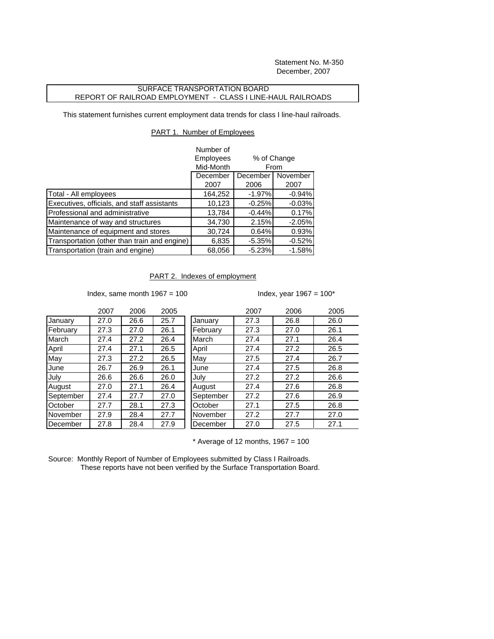Statement No. M-350 December, 2007

## SURFACE TRANSPORTATION BOARD REPORT OF RAILROAD EMPLOYMENT - CLASS I LINE-HAUL RAILROADS

This statement furnishes current employment data trends for class I line-haul railroads.

## PART 1. Number of Employees

|                                              | Number of |                                             |          |
|----------------------------------------------|-----------|---------------------------------------------|----------|
|                                              | Employees | % of Change<br>From<br>November<br>December |          |
|                                              | Mid-Month |                                             |          |
|                                              | December  |                                             |          |
|                                              | 2007      | 2006                                        | 2007     |
| Total - All employees                        | 164,252   | $-1.97%$                                    | $-0.94%$ |
| Executives, officials, and staff assistants  | 10,123    | $-0.25%$                                    | $-0.03%$ |
| Professional and administrative              | 13,784    | $-0.44%$                                    | 0.17%    |
| Maintenance of way and structures            | 34,730    | 2.15%                                       | $-2.05%$ |
| Maintenance of equipment and stores          | 30,724    | 0.64%                                       | 0.93%    |
| Transportation (other than train and engine) | 6,835     | $-5.35%$                                    | $-0.52%$ |
| Transportation (train and engine)            | 68,056    | $-5.23%$                                    | $-1.58%$ |

## PART 2. Indexes of employment

Index, same month  $1967 = 100$  Index, year  $1967 = 100$ \*

|           | 2007 | 2006 | 2005 |           | 2007 | 2006 | 2005 |
|-----------|------|------|------|-----------|------|------|------|
| January   | 27.0 | 26.6 | 25.7 | January   | 27.3 | 26.8 | 26.0 |
| February  | 27.3 | 27.0 | 26.1 | February  | 27.3 | 27.0 | 26.1 |
| March     | 27.4 | 27.2 | 26.4 | March     | 27.4 | 27.1 | 26.4 |
| April     | 27.4 | 27.1 | 26.5 | April     | 27.4 | 27.2 | 26.5 |
| May       | 27.3 | 27.2 | 26.5 | May       | 27.5 | 27.4 | 26.7 |
| June      | 26.7 | 26.9 | 26.1 | June      | 27.4 | 27.5 | 26.8 |
| July      | 26.6 | 26.6 | 26.0 | July      | 27.2 | 27.2 | 26.6 |
| August    | 27.0 | 27.1 | 26.4 | August    | 27.4 | 27.6 | 26.8 |
| September | 27.4 | 27.7 | 27.0 | September | 27.2 | 27.6 | 26.9 |
| October   | 27.7 | 28.1 | 27.3 | October   | 27.1 | 27.5 | 26.8 |
| November  | 27.9 | 28.4 | 27.7 | November  | 27.2 | 27.7 | 27.0 |
| December  | 27.8 | 28.4 | 27.9 | December  | 27.0 | 27.5 | 27.1 |
|           |      |      |      |           |      |      |      |

 $*$  Average of 12 months, 1967 = 100

Source: Monthly Report of Number of Employees submitted by Class I Railroads. These reports have not been verified by the Surface Transportation Board.